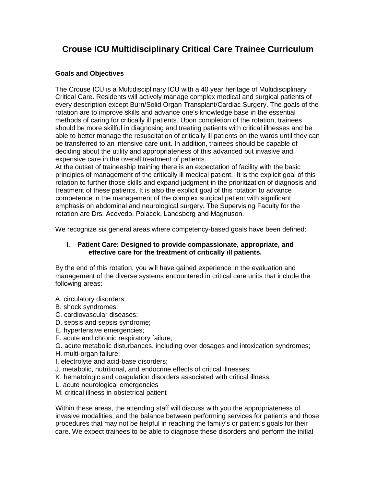### **Crouse ICU Multidisciplinary Critical Care Trainee Curriculum**

#### **Goals and Objectives**

The Crouse ICU is a Multidisciplinary ICU with a 40 year heritage of Multidisciplinary Critical Care. Residents will actively manage complex medical and surgical patients of every description except Burn/Solid Organ Transplant/Cardiac Surgery. The goals of the rotation are to improve skills and advance one's knowledge base in the essential methods of caring for critically ill patients. Upon completion of the rotation, trainees should be more skillful in diagnosing and treating patients with critical illnesses and be able to better manage the resuscitation of critically ill patients on the wards until they can be transferred to an intensive care unit. In addition, trainees should be capable of deciding about the utility and appropriateness of this advanced but invasive and expensive care in the overall treatment of patients.

At the outset of traineeship training there is an expectation of facility with the basic principles of management of the critically ill medical patient. It is the explicit goal of this rotation to further those skills and expand judgment in the prioritization of diagnosis and treatment of these patients. It is also the explicit goal of this rotation to advance competence in the management of the complex surgical patient with significant emphasis on abdominal and neurological surgery. The Supervising Faculty for the rotation are Drs. Acevedo, Polacek, Landsberg and Magnuson.

We recognize six general areas where competency-based goals have been defined:

#### **I. Patient Care: Designed to provide compassionate, appropriate, and effective care for the treatment of critically ill patients.**

By the end of this rotation, you will have gained experience in the evaluation and management of the diverse systems encountered in critical care units that include the following areas:

A. circulatory disorders;

- B. shock syndromes;
- C. cardiovascular diseases;
- D. sepsis and sepsis syndrome;
- E. hypertensive emergencies;
- F. acute and chronic respiratory failure;
- G. acute metabolic disturbances, including over dosages and intoxication syndromes;
- H. multi-organ failure;
- I. electrolyte and acid-base disorders;
- J. metabolic, nutritional, and endocrine effects of critical illnesses;
- K. hematologic and coagulation disorders associated with critical illness.
- L. acute neurological emergencies
- M. critical illness in obstetrical patient

Within these areas, the attending staff will discuss with you the appropriateness of invasive modalities, and the balance between performing services for patients and those procedures that may not be helpful in reaching the family's or patient's goals for their care. We expect trainees to be able to diagnose these disorders and perform the initial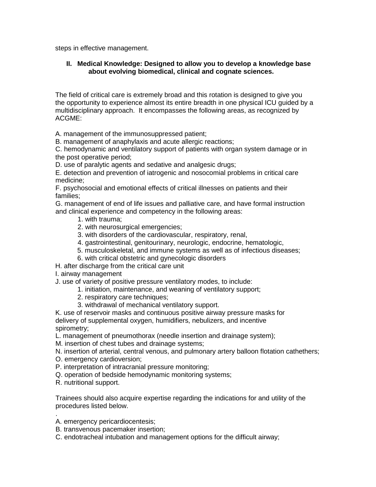steps in effective management.

#### **II. Medical Knowledge: Designed to allow you to develop a knowledge base about evolving biomedical, clinical and cognate sciences.**

The field of critical care is extremely broad and this rotation is designed to give you the opportunity to experience almost its entire breadth in one physical ICU guided by a multidisciplinary approach. It encompasses the following areas, as recognized by ACGME:

A. management of the immunosuppressed patient;

B. management of anaphylaxis and acute allergic reactions;

C. hemodynamic and ventilatory support of patients with organ system damage or in the post operative period;

D. use of paralytic agents and sedative and analgesic drugs;

E. detection and prevention of iatrogenic and nosocomial problems in critical care medicine;

F. psychosocial and emotional effects of critical illnesses on patients and their families;

G. management of end of life issues and palliative care, and have formal instruction and clinical experience and competency in the following areas:

- 1. with trauma;
- 2. with neurosurgical emergencies;
- 3. with disorders of the cardiovascular, respiratory, renal,
- 4. gastrointestinal, genitourinary, neurologic, endocrine, hematologic,
- 5. musculoskeletal, and immune systems as well as of infectious diseases;
- 6. with critical obstetric and gynecologic disorders

H. after discharge from the critical care unit

I. airway management

J. use of variety of positive pressure ventilatory modes, to include:

- 1. initiation, maintenance, and weaning of ventilatory support;
- 2. respiratory care techniques;
- 3. withdrawal of mechanical ventilatory support.

K. use of reservoir masks and continuous positive airway pressure masks for delivery of supplemental oxygen, humidifiers, nebulizers, and incentive spirometry;

L. management of pneumothorax (needle insertion and drainage system);

M. insertion of chest tubes and drainage systems;

N. insertion of arterial, central venous, and pulmonary artery balloon flotation cathethers;

- O. emergency cardioversion;
- P. interpretation of intracranial pressure monitoring;
- Q. operation of bedside hemodynamic monitoring systems;
- R. nutritional support.

Trainees should also acquire expertise regarding the indications for and utility of the procedures listed below.

. A. emergency pericardiocentesis;

- B. transvenous pacemaker insertion;
- C. endotracheal intubation and management options for the difficult airway;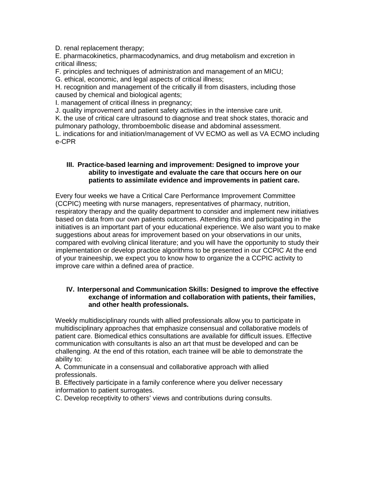D. renal replacement therapy;

E. pharmacokinetics, pharmacodynamics, and drug metabolism and excretion in critical illness;

F. principles and techniques of administration and management of an MICU;

G. ethical, economic, and legal aspects of critical illness;

H. recognition and management of the critically ill from disasters, including those caused by chemical and biological agents;

I. management of critical illness in pregnancy;

J. quality improvement and patient safety activities in the intensive care unit. K. the use of critical care ultrasound to diagnose and treat shock states, thoracic and pulmonary pathology, thromboembolic disease and abdominal assessment. L. indications for and initiation/management of VV ECMO as well as VA ECMO including e-CPR

#### **III. Practice-based learning and improvement: Designed to improve your ability to investigate and evaluate the care that occurs here on our patients to assimilate evidence and improvements in patient care.**

Every four weeks we have a Critical Care Performance Improvement Committee (CCPIC) meeting with nurse managers, representatives of pharmacy, nutrition, respiratory therapy and the quality department to consider and implement new initiatives based on data from our own patients outcomes. Attending this and participating in the initiatives is an important part of your educational experience. We also want you to make suggestions about areas for improvement based on your observations in our units, compared with evolving clinical literature; and you will have the opportunity to study their implementation or develop practice algorithms to be presented in our CCPIC At the end of your traineeship, we expect you to know how to organize the a CCPIC activity to improve care within a defined area of practice.

#### **IV. Interpersonal and Communication Skills: Designed to improve the effective exchange of information and collaboration with patients, their families, and other health professionals.**

Weekly multidisciplinary rounds with allied professionals allow you to participate in multidisciplinary approaches that emphasize consensual and collaborative models of patient care. Biomedical ethics consultations are available for difficult issues. Effective communication with consultants is also an art that must be developed and can be challenging. At the end of this rotation, each trainee will be able to demonstrate the ability to:

A. Communicate in a consensual and collaborative approach with allied professionals.

B. Effectively participate in a family conference where you deliver necessary information to patient surrogates.

C. Develop receptivity to others' views and contributions during consults.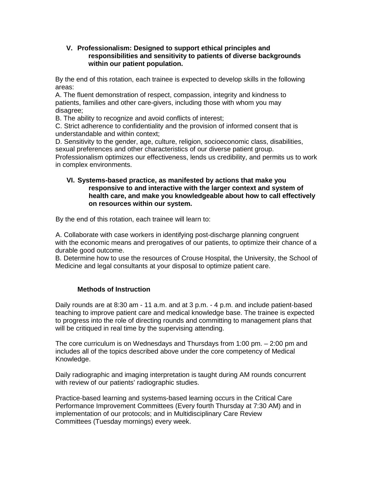#### **V. Professionalism: Designed to support ethical principles and responsibilities and sensitivity to patients of diverse backgrounds within our patient population.**

By the end of this rotation, each trainee is expected to develop skills in the following areas:

A. The fluent demonstration of respect, compassion, integrity and kindness to patients, families and other care-givers, including those with whom you may disagree:

B. The ability to recognize and avoid conflicts of interest;

C. Strict adherence to confidentiality and the provision of informed consent that is understandable and within context;

D. Sensitivity to the gender, age, culture, religion, socioeconomic class, disabilities, sexual preferences and other characteristics of our diverse patient group.

Professionalism optimizes our effectiveness, lends us credibility, and permits us to work in complex environments.

#### **VI. Systems-based practice, as manifested by actions that make you responsive to and interactive with the larger context and system of health care, and make you knowledgeable about how to call effectively on resources within our system.**

By the end of this rotation, each trainee will learn to:

A. Collaborate with case workers in identifying post-discharge planning congruent with the economic means and prerogatives of our patients, to optimize their chance of a durable good outcome.

B. Determine how to use the resources of Crouse Hospital, the University, the School of Medicine and legal consultants at your disposal to optimize patient care.

#### **Methods of Instruction**

Daily rounds are at 8:30 am - 11 a.m. and at 3 p.m. - 4 p.m. and include patient-based teaching to improve patient care and medical knowledge base. The trainee is expected to progress into the role of directing rounds and committing to management plans that will be critiqued in real time by the supervising attending.

The core curriculum is on Wednesdays and Thursdays from 1:00 pm. – 2:00 pm and includes all of the topics described above under the core competency of Medical Knowledge.

Daily radiographic and imaging interpretation is taught during AM rounds concurrent with review of our patients' radiographic studies.

Practice-based learning and systems-based learning occurs in the Critical Care Performance Improvement Committees (Every fourth Thursday at 7:30 AM) and in implementation of our protocols; and in Multidisciplinary Care Review Committees (Tuesday mornings) every week.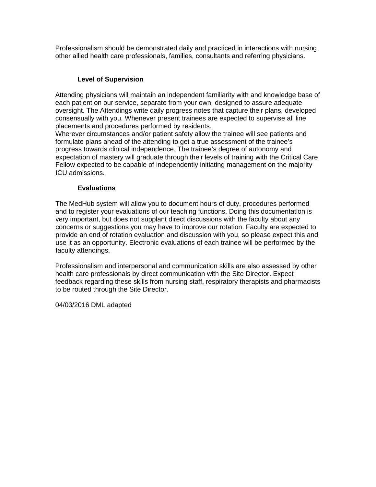Professionalism should be demonstrated daily and practiced in interactions with nursing, other allied health care professionals, families, consultants and referring physicians.

#### **Level of Supervision**

Attending physicians will maintain an independent familiarity with and knowledge base of each patient on our service, separate from your own, designed to assure adequate oversight. The Attendings write daily progress notes that capture their plans, developed consensually with you. Whenever present trainees are expected to supervise all line placements and procedures performed by residents.

Wherever circumstances and/or patient safety allow the trainee will see patients and formulate plans ahead of the attending to get a true assessment of the trainee's progress towards clinical independence. The trainee's degree of autonomy and expectation of mastery will graduate through their levels of training with the Critical Care Fellow expected to be capable of independently initiating management on the majority ICU admissions.

#### **Evaluations**

The MedHub system will allow you to document hours of duty, procedures performed and to register your evaluations of our teaching functions. Doing this documentation is very important, but does not supplant direct discussions with the faculty about any concerns or suggestions you may have to improve our rotation. Faculty are expected to provide an end of rotation evaluation and discussion with you, so please expect this and use it as an opportunity. Electronic evaluations of each trainee will be performed by the faculty attendings.

Professionalism and interpersonal and communication skills are also assessed by other health care professionals by direct communication with the Site Director. Expect feedback regarding these skills from nursing staff, respiratory therapists and pharmacists to be routed through the Site Director.

04/03/2016 DML adapted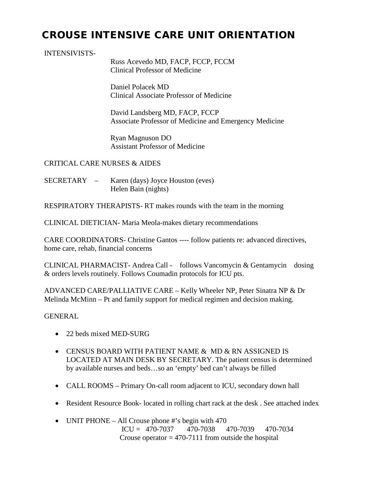# CROUSE INTENSIVE CARE UNIT ORIENTATION

#### INTENSIVISTS-

Russ Acevedo MD, FACP, FCCP, FCCM Clinical Professor of Medicine

Daniel Polacek MD Clinical Associate Professor of Medicine

David Landsberg MD, FACP, FCCP Associate Professor of Medicine and Emergency Medicine

Ryan Magnuson DO Assistant Professor of Medicine

CRITICAL CARE NURSES & AIDES

SECRETARY – Karen (days) Joyce Houston (eves) Helen Bain (nights)

RESPIRATORY THERAPISTS- RT makes rounds with the team in the morning

CLINICAL DIETICIAN- Maria Meola-makes dietary recommendations

CARE COORDINATORS- Christine Gantos ---- follow patients re: advanced directives, home care, rehab, financial concerns

CLINICAL PHARMACIST- Andrea Call - follows Vancomycin & Gentamycin dosing & orders levels routinely. Follows Coumadin protocols for ICU pts.

ADVANCED CARE/PALLIATIVE CARE – Kelly Wheeler NP, Peter Sinatra NP & Dr Melinda McMinn – Pt and family support for medical regimen and decision making.

#### GENERAL

- 22 beds mixed MED-SURG
- CENSUS BOARD WITH PATIENT NAME & MD & RN ASSIGNED IS LOCATED AT MAIN DESK BY SECRETARY. The patient census is determined by available nurses and beds…so an 'empty' bed can't always be filled
- CALL ROOMS Primary On-call room adjacent to ICU, secondary down hall
- Resident Resource Book- located in rolling chart rack at the desk. See attached index
- UNIT PHONE All Crouse phone #'s begin with 470 ICU =  $470-7037$   $470-7038$   $470-7039$   $470-7034$ Crouse operator  $= 470-7111$  from outside the hospital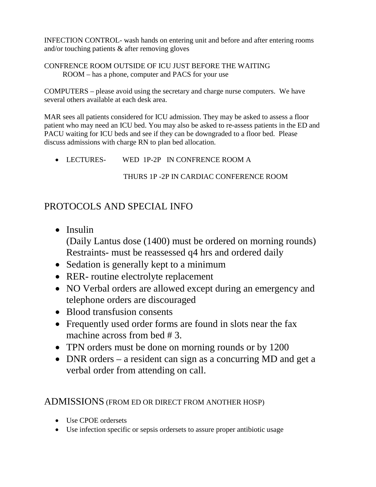INFECTION CONTROL- wash hands on entering unit and before and after entering rooms and/or touching patients & after removing gloves

#### CONFRENCE ROOM OUTSIDE OF ICU JUST BEFORE THE WAITING ROOM – has a phone, computer and PACS for your use

COMPUTERS – please avoid using the secretary and charge nurse computers. We have several others available at each desk area.

MAR sees all patients considered for ICU admission. They may be asked to assess a floor patient who may need an ICU bed. You may also be asked to re-assess patients in the ED and PACU waiting for ICU beds and see if they can be downgraded to a floor bed. Please discuss admissions with charge RN to plan bed allocation.

• LECTURES- WED 1P-2P IN CONFRENCE ROOM A

### THURS 1P -2P IN CARDIAC CONFERENCE ROOM

# PROTOCOLS AND SPECIAL INFO

- Insulin (Daily Lantus dose (1400) must be ordered on morning rounds) Restraints- must be reassessed q4 hrs and ordered daily
- Sedation is generally kept to a minimum
- RER- routine electrolyte replacement
- NO Verbal orders are allowed except during an emergency and telephone orders are discouraged
- Blood transfusion consents
- Frequently used order forms are found in slots near the fax machine across from bed # 3.
- TPN orders must be done on morning rounds or by 1200
- DNR orders a resident can sign as a concurring MD and get a verbal order from attending on call.

### ADMISSIONS (FROM ED OR DIRECT FROM ANOTHER HOSP)

- Use CPOE ordersets
- Use infection specific or sepsis ordersets to assure proper antibiotic usage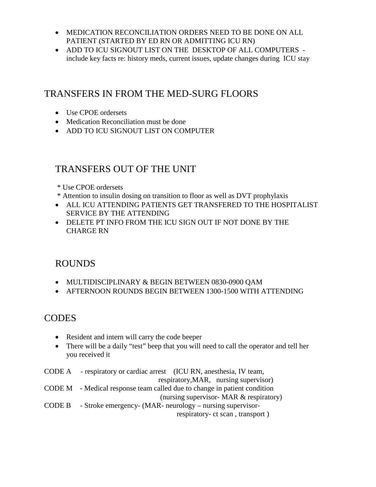- MEDICATION RECONCILIATION ORDERS NEED TO BE DONE ON ALL PATIENT (STARTED BY ED RN OR ADMITTING ICU RN)
- ADD TO ICU SIGNOUT LIST ON THE DESKTOP OF ALL COMPUTERS include key facts re: history meds, current issues, update changes during ICU stay

### TRANSFERS IN FROM THE MED-SURG FLOORS

- Use CPOE ordersets
- Medication Reconciliation must be done
- ADD TO ICU SIGNOUT LIST ON COMPUTER

### TRANSFERS OUT OF THE UNIT

- \* Use CPOE ordersets
- \* Attention to insulin dosing on transition to floor as well as DVT prophylaxis
- ALL ICU ATTENDING PATIENTS GET TRANSFERED TO THE HOSPITALIST SERVICE BY THE ATTENDING
- DELETE PT INFO FROM THE ICU SIGN OUT IF NOT DONE BY THE CHARGE RN

### ROUNDS

- MULTIDISCIPLINARY & BEGIN BETWEEN 0830-0900 QAM
- AFTERNOON ROUNDS BEGIN BETWEEN 1300-1500 WITH ATTENDING

# CODES

- Resident and intern will carry the code beeper
- There will be a daily "test" beep that you will need to call the operator and tell her you received it
- CODE A respiratory or cardiac arrest (ICU RN, anesthesia, IV team, respiratory,MAR, nursing supervisor) CODE M - Medical response team called due to change in patient condition (nursing supervisor- MAR & respiratory) CODE B - Stroke emergency- (MAR- neurology – nursing supervisor respiratory- ct scan , transport )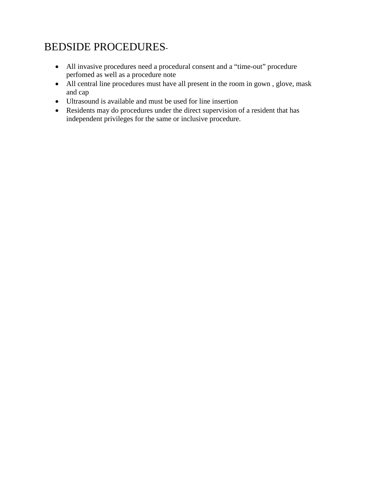# BEDSIDE PROCEDURES-

- All invasive procedures need a procedural consent and a "time-out" procedure perfomed as well as a procedure note
- All central line procedures must have all present in the room in gown , glove, mask and cap
- Ultrasound is available and must be used for line insertion
- Residents may do procedures under the direct supervision of a resident that has independent privileges for the same or inclusive procedure.